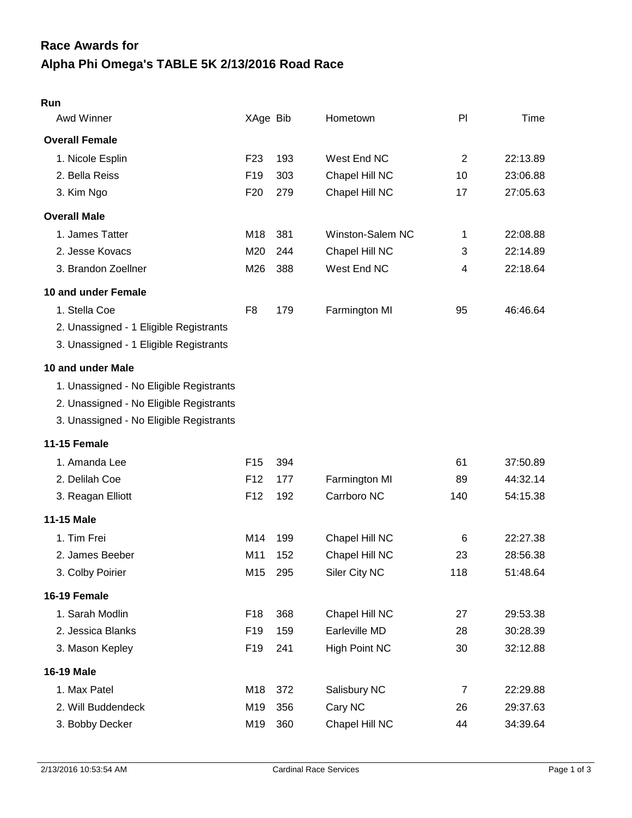# **Alpha Phi Omega's TABLE 5K 2/13/2016 Road Race Race Awards for**

| Run                                     |                 |     |                      |                |          |
|-----------------------------------------|-----------------|-----|----------------------|----------------|----------|
| Awd Winner                              | XAge Bib        |     | Hometown             | PI             | Time     |
| <b>Overall Female</b>                   |                 |     |                      |                |          |
| 1. Nicole Esplin                        | F <sub>23</sub> | 193 | West End NC          | 2              | 22:13.89 |
| 2. Bella Reiss                          | F <sub>19</sub> | 303 | Chapel Hill NC       | 10             | 23:06.88 |
| 3. Kim Ngo                              | F <sub>20</sub> | 279 | Chapel Hill NC       | 17             | 27:05.63 |
| <b>Overall Male</b>                     |                 |     |                      |                |          |
| 1. James Tatter                         | M18             | 381 | Winston-Salem NC     | 1              | 22:08.88 |
| 2. Jesse Kovacs                         | M20             | 244 | Chapel Hill NC       | 3              | 22:14.89 |
| 3. Brandon Zoellner                     | M26             | 388 | West End NC          | 4              | 22:18.64 |
| 10 and under Female                     |                 |     |                      |                |          |
| 1. Stella Coe                           | F <sub>8</sub>  | 179 | Farmington MI        | 95             | 46:46.64 |
| 2. Unassigned - 1 Eligible Registrants  |                 |     |                      |                |          |
| 3. Unassigned - 1 Eligible Registrants  |                 |     |                      |                |          |
| 10 and under Male                       |                 |     |                      |                |          |
| 1. Unassigned - No Eligible Registrants |                 |     |                      |                |          |
| 2. Unassigned - No Eligible Registrants |                 |     |                      |                |          |
| 3. Unassigned - No Eligible Registrants |                 |     |                      |                |          |
| <b>11-15 Female</b>                     |                 |     |                      |                |          |
| 1. Amanda Lee                           | F <sub>15</sub> | 394 |                      | 61             | 37:50.89 |
| 2. Delilah Coe                          | F <sub>12</sub> | 177 | Farmington MI        | 89             | 44:32.14 |
| 3. Reagan Elliott                       | F <sub>12</sub> | 192 | Carrboro NC          | 140            | 54:15.38 |
| 11-15 Male                              |                 |     |                      |                |          |
| 1. Tim Frei                             | M14             | 199 | Chapel Hill NC       | 6              | 22:27.38 |
| 2. James Beeber                         | M11             | 152 | Chapel Hill NC       | 23             | 28:56.38 |
| 3. Colby Poirier                        | M15             | 295 | Siler City NC        | 118            | 51:48.64 |
| 16-19 Female                            |                 |     |                      |                |          |
| 1. Sarah Modlin                         | F <sub>18</sub> | 368 | Chapel Hill NC       | 27             | 29:53.38 |
| 2. Jessica Blanks                       | F <sub>19</sub> | 159 | Earleville MD        | 28             | 30:28.39 |
| 3. Mason Kepley                         | F <sub>19</sub> | 241 | <b>High Point NC</b> | 30             | 32:12.88 |
| <b>16-19 Male</b>                       |                 |     |                      |                |          |
| 1. Max Patel                            | M18             | 372 | Salisbury NC         | $\overline{7}$ | 22:29.88 |
| 2. Will Buddendeck                      | M19             | 356 | Cary NC              | 26             | 29:37.63 |
| 3. Bobby Decker                         | M19             | 360 | Chapel Hill NC       | 44             | 34:39.64 |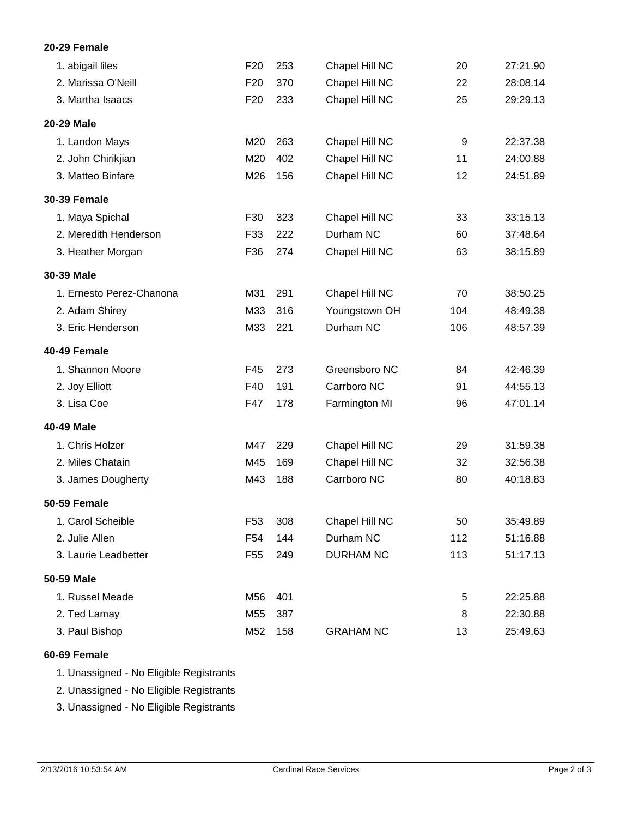## **20-29 Female**

| 1. abigail liles         | F <sub>20</sub> | 253 | Chapel Hill NC   | 20  | 27:21.90 |
|--------------------------|-----------------|-----|------------------|-----|----------|
| 2. Marissa O'Neill       | F <sub>20</sub> | 370 | Chapel Hill NC   | 22  | 28:08.14 |
| 3. Martha Isaacs         | F <sub>20</sub> | 233 | Chapel Hill NC   | 25  | 29:29.13 |
| 20-29 Male               |                 |     |                  |     |          |
| 1. Landon Mays           | M20             | 263 | Chapel Hill NC   | 9   | 22:37.38 |
| 2. John Chirikjian       | M20             | 402 | Chapel Hill NC   | 11  | 24:00.88 |
| 3. Matteo Binfare        | M26             | 156 | Chapel Hill NC   | 12  | 24:51.89 |
| <b>30-39 Female</b>      |                 |     |                  |     |          |
| 1. Maya Spichal          | F30             | 323 | Chapel Hill NC   | 33  | 33:15.13 |
| 2. Meredith Henderson    | F33             | 222 | Durham NC        | 60  | 37:48.64 |
| 3. Heather Morgan        | F36             | 274 | Chapel Hill NC   | 63  | 38:15.89 |
| 30-39 Male               |                 |     |                  |     |          |
| 1. Ernesto Perez-Chanona | M31             | 291 | Chapel Hill NC   | 70  | 38:50.25 |
| 2. Adam Shirey           | M33             | 316 | Youngstown OH    | 104 | 48:49.38 |
| 3. Eric Henderson        | M33             | 221 | Durham NC        | 106 | 48:57.39 |
| 40-49 Female             |                 |     |                  |     |          |
| 1. Shannon Moore         | F45             | 273 | Greensboro NC    | 84  | 42:46.39 |
| 2. Joy Elliott           | F40             | 191 | Carrboro NC      | 91  | 44:55.13 |
| 3. Lisa Coe              | F47             | 178 | Farmington MI    | 96  | 47:01.14 |
| 40-49 Male               |                 |     |                  |     |          |
| 1. Chris Holzer          | M47             | 229 | Chapel Hill NC   | 29  | 31:59.38 |
| 2. Miles Chatain         | M45             | 169 | Chapel Hill NC   | 32  | 32:56.38 |
| 3. James Dougherty       | M43             | 188 | Carrboro NC      | 80  | 40:18.83 |
| <b>50-59 Female</b>      |                 |     |                  |     |          |
| 1. Carol Scheible        | F <sub>53</sub> | 308 | Chapel Hill NC   | 50  | 35:49.89 |
| 2. Julie Allen           | F54             | 144 | Durham NC        | 112 | 51:16.88 |
| 3. Laurie Leadbetter     | F <sub>55</sub> | 249 | <b>DURHAM NC</b> | 113 | 51:17.13 |
| 50-59 Male               |                 |     |                  |     |          |
| 1. Russel Meade          | M56             | 401 |                  | 5   | 22:25.88 |
| 2. Ted Lamay             | M55             | 387 |                  | 8   | 22:30.88 |
| 3. Paul Bishop           | M52             | 158 | <b>GRAHAM NC</b> | 13  | 25:49.63 |

### **60-69 Female**

|  | 1. Unassigned - No Eligible Registrants |  |  |  |
|--|-----------------------------------------|--|--|--|
|--|-----------------------------------------|--|--|--|

2. Unassigned - No Eligible Registrants

3. Unassigned - No Eligible Registrants